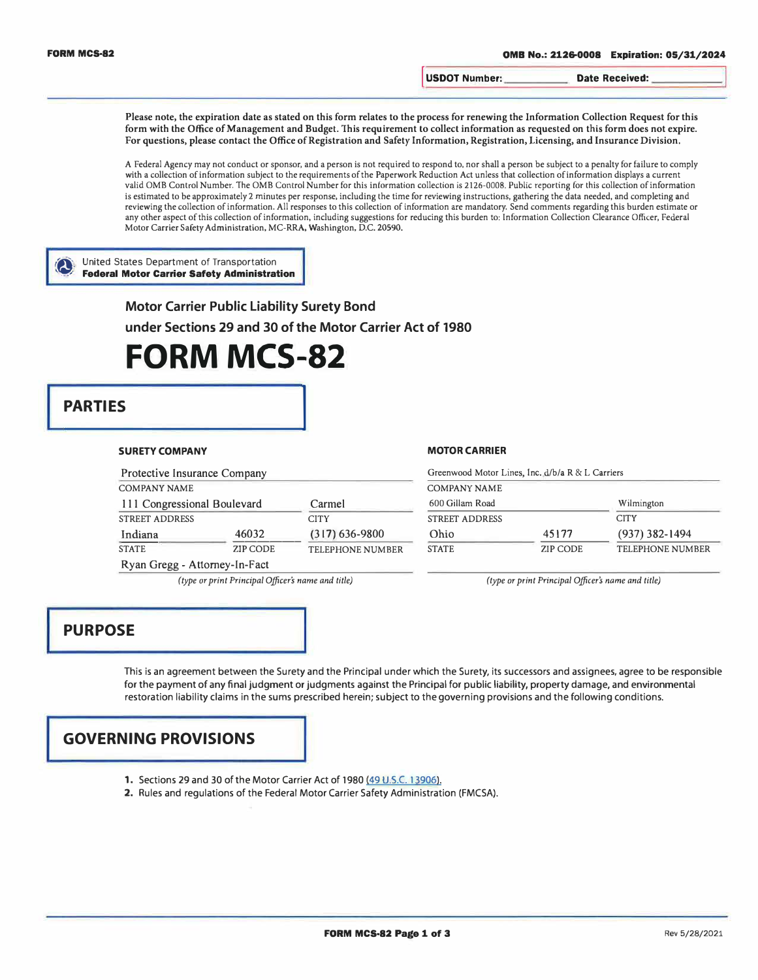**I USDOT Number: Date Received:** 

**Please note, the expiration date as stated on this form relates to the process for renewing the Information Collection Request for this**  form with the Office of Management and Budget. This requirement to collect information as requested on this form does not expire. **For questions, please contact the Office of Registration and Safety Information, Registration, Licensing, and Insurance Division.** 

A Federal Agency may not conduct or sponsor, and a person is not required to respond to, nor shall a person be subject to a penalty for failure to comply with a collection of information subject to the requirements of the Paperwork Reduction Act unless that collection of information displays a current valid 0MB Control Number. The 0MB Control Number for this information collection is 2126-0008. Public reporting for this collection of information is estimated to be approximately 2 minutes per response, including the time for reviewing instructions, gathering the data needed, and completing and reviewing the collection of information. All responses to this collection of information are mandatory. Send comments regarding this burden estimate or any other aspect of this collection of information, including suggestions for reducing this burden to: Information Collection Clearance Officer, Federal Motor Carrier Safety Administration, MC-RRA, Washington, D.C. 20590.

#### � United States Department of Transportation **� Federal Motor Carrier Safety Administration**

**Motor Carrier Public Liability Surety Bond** 

**under Sections 29 and 30 of the Motor Carrier Act of 1980** 

## **FORM MCS-82**

# **PARTIES**

#### **SURETY COMPANY**

| Protective Insurance Company  |                 |                         |  |
|-------------------------------|-----------------|-------------------------|--|
| <b>COMPANY NAME</b>           |                 |                         |  |
| 111 Congressional Boulevard   |                 | Carmel                  |  |
| <b>STREET ADDRESS</b>         |                 | <b>CITY</b>             |  |
| Indiana                       | 46032           | $(317) 636 - 9800$      |  |
| <b>STATE</b>                  | <b>ZIP CODE</b> | <b>TELEPHONE NUMBER</b> |  |
| Ryan Gregg - Attorney-In-Fact |                 |                         |  |

#### **MOTOR CARRIER**

| Greenwood Motor Lines, Inc. d/b/a R & L Carriers |          |                           |  |  |  |
|--------------------------------------------------|----------|---------------------------|--|--|--|
| <b>COMPANY NAME</b>                              |          |                           |  |  |  |
| 600 Gillam Road                                  |          | Wilmington<br><b>CITY</b> |  |  |  |
| <b>STREET ADDRESS</b>                            |          |                           |  |  |  |
| Ohio                                             | 45177    | $(937)$ 382-1494          |  |  |  |
| <b>STATE</b>                                     | ZIP CODE | <b>TELEPHONE NUMBER</b>   |  |  |  |

*(type or print Principal Officer's name and title) (type or print Principal Officer's name and title)* 

## **PURPOSE**

This is an agreement between the Surety and the Principal under which the Surety, its successors and assignees, agree to be responsible for the payment of any final judgment or judgments against the Principal for public liability, property damage, and environmental restoration liability claims in the sums prescribed herein; subject to the governing provisions and the following conditions.

## **GOVERNING PROVISIONS**

- 1. Sections 29 and 30 of the Motor Carrier Act of 1980 (49 U.S.C. 13906).
- 2. Rules and regulations of the Federal Motor Carrier Safety Administration (FMCSA).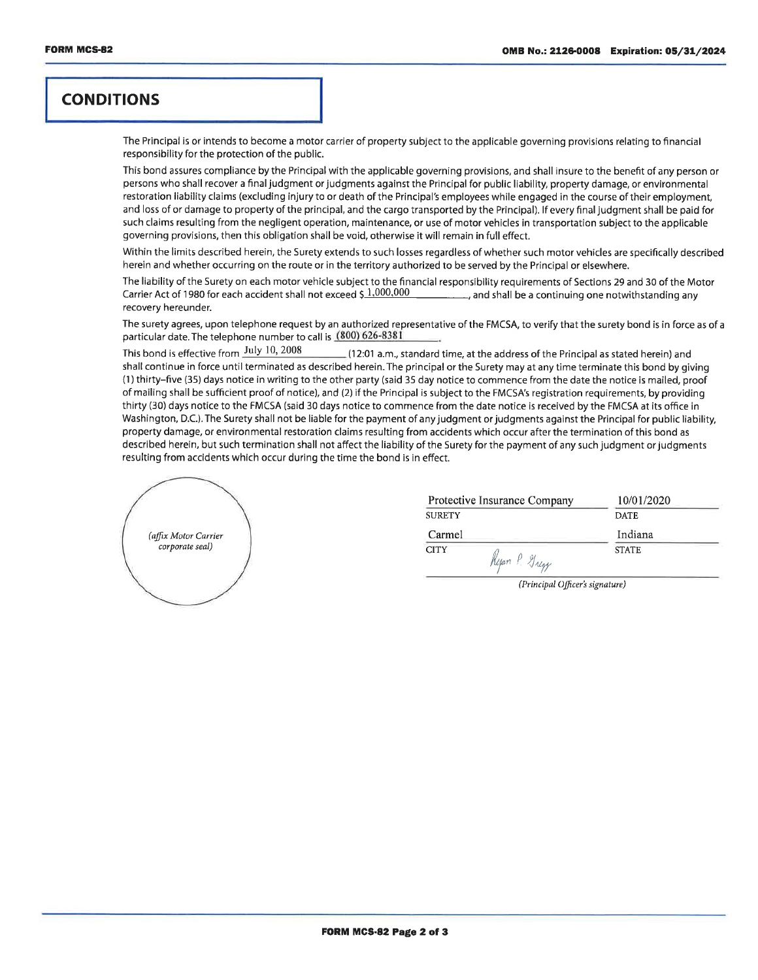## **CONDITIONS**

The Principal is or intends to become a motor carrier of property subject to the applicable governing provisions relating to financial responsibility for the protection of the public.

This bond assures compliance by the Principal with the applicable governing provisions, and shall insure to the benefit of any person or persons who shall recover a final judgment or judgments against the Principal for public liability, property damage, or environmental restoration liability claims (excluding injury to or death of the Principal's employees while engaged in the course of their employment. and loss of or damage to property of the principal, and the cargo transported by the Principal). If every final judgment shall be paid for such claims resulting from the negligent operation, maintenance, or use of motor vehicles in transportation subject to the applicable governing provisions, then this obligation shall be void, otherwise it will remain in full effect.

Within the limits described herein, the Surety extends to such losses regardless of whether such motor vehicles are specifically described herein and whether occurring on the route or in the territory authorized to be served by the Principal or elsewhere.

The liability of the Surety on each motor vehicle subject to the financial responsibility requirements of Sections 29 and 30 of the Motor Carrier Act of 1980 for each accident shall not exceed \$1,000,000 and shall be a continuing one notwithstanding any recovery hereunder.

The surety agrees, upon telephone request by an authorized representative of the FMCSA, to verify that the surety bond is in force as of a particular date. The telephone number to call is (800) 626-8381

This bond is effective from July 10, 2008 (12:01 a.m., standard time, at the address of the Principal as stated herein) and shall continue in force until terminated as described herein. The principal or the Surety may at any time terminate this bond by giving (1) thirty–five (35) days notice in writing to the other party (said 35 day notice to commence from the date the notice is mailed, proof of mailing shall be sufficient proof of notice), and (2) if the Principal is subject to the FMCSA's registration requirements, by providing thirty (30) days notice to the FMCSA (said 30 days notice to commence from the date notice is received by the FMCSA at its office in Washington, D.C.). The Surety shall not be liable for the payment of any judgment or judgments against the Principal for public liability. property damage, or environmental restoration claims resulting from accidents which occur after the termination of this bond as described herein, but such termination shall not affect the liability of the Surety for the payment of any such judgment or judgments resulting from accidents which occur during the time the bond is in effect.



| Protective Insurance Company        | 10/01/2020   |
|-------------------------------------|--------------|
| <b>SURETY</b>                       | <b>DATE</b>  |
| Carmel                              | Indiana      |
| <b>CITY</b><br>Ryan P. Gregy        | <b>STATE</b> |
| the contract of the contract of the | . .          |

(Principal Officer's signature)